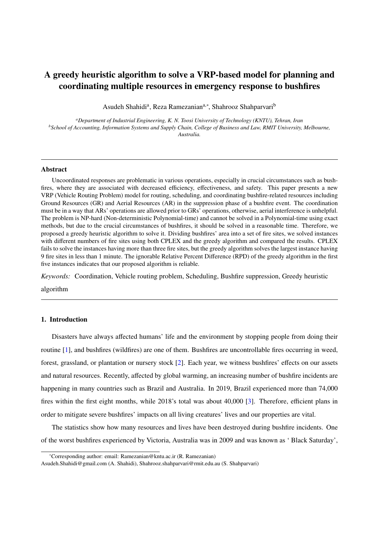# A greedy heuristic algorithm to solve a VRP-based model for planning and coordinating multiple resources in emergency response to bushfires

Asudeh Shahidi<sup>a</sup>, Reza Ramezanian<sup>a,∗</sup>, Shahrooz Shahparvari<sup>b</sup>

*<sup>a</sup>Department of Industrial Engineering, K. N. Toosi University of Technology (KNTU), Tehran, Iran <sup>b</sup>School of Accounting, Information Systems and Supply Chain, College of Business and Law, RMIT University, Melbourne, Australia.*

#### Abstract

Uncoordinated responses are problematic in various operations, especially in crucial circumstances such as bushfires, where they are associated with decreased efficiency, effectiveness, and safety. This paper presents a new VRP (Vehicle Routing Problem) model for routing, scheduling, and coordinating bushfire-related resources including Ground Resources (GR) and Aerial Resources (AR) in the suppression phase of a bushfire event. The coordination must be in a way that ARs' operations are allowed prior to GRs' operations, otherwise, aerial interference is unhelpful. The problem is NP-hard (Non-deterministic Polynomial-time) and cannot be solved in a Polynomial-time using exact methods, but due to the crucial circumstances of bushfires, it should be solved in a reasonable time. Therefore, we proposed a greedy heuristic algorithm to solve it. Dividing bushfires' area into a set of fire sites, we solved instances with different numbers of fire sites using both CPLEX and the greedy algorithm and compared the results. CPLEX fails to solve the instances having more than three fire sites, but the greedy algorithm solves the largest instance having 9 fire sites in less than 1 minute. The ignorable Relative Percent Difference (RPD) of the greedy algorithm in the first five instances indicates that our proposed algorithm is reliable.

*Keywords:* Coordination, Vehicle routing problem, Scheduling, Bushfire suppression, Greedy heuristic

algorithm

## <span id="page-0-0"></span>1. Introduction

Disasters have always affected humans' life and the environment by stopping people from doing their routine [\[1\]](#page-17-0), and bushfires (wildfires) are one of them. Bushfires are uncontrollable fires occurring in weed, forest, grassland, or plantation or nursery stock [\[2\]](#page-17-1). Each year, we witness bushfires' effects on our assets and natural resources. Recently, affected by global warming, an increasing number of bushfire incidents are happening in many countries such as Brazil and Australia. In 2019, Brazil experienced more than 74,000 fires within the first eight months, while 2018's total was about 40,000 [\[3\]](#page-17-2). Therefore, efficient plans in order to mitigate severe bushfires' impacts on all living creatures' lives and our properties are vital.

The statistics show how many resources and lives have been destroyed during bushfire incidents. One of the worst bushfires experienced by Victoria, Australia was in 2009 and was known as ' Black Saturday',

<sup>∗</sup>Corresponding author: email: Ramezanian@kntu.ac.ir (R. Ramezanian)

Asudeh.Shahidi@gmail.com (A. Shahidi), Shahrooz.shahparvari@rmit.edu.au (S. Shahparvari)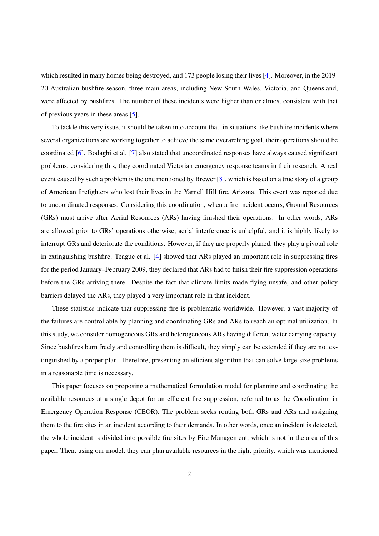which resulted in many homes being destroyed, and 173 people losing their lives [\[4\]](#page-17-3). Moreover, in the 2019-20 Australian bushfire season, three main areas, including New South Wales, Victoria, and Queensland, were affected by bushfires. The number of these incidents were higher than or almost consistent with that of previous years in these areas [\[5\]](#page-17-4).

To tackle this very issue, it should be taken into account that, in situations like bushfire incidents where several organizations are working together to achieve the same overarching goal, their operations should be coordinated [\[6\]](#page-17-5). Bodaghi et al. [\[7\]](#page-17-6) also stated that uncoordinated responses have always caused significant problems, considering this, they coordinated Victorian emergency response teams in their research. A real event caused by such a problem is the one mentioned by Brewer [\[8\]](#page-17-7), which is based on a true story of a group of American firefighters who lost their lives in the Yarnell Hill fire, Arizona. This event was reported due to uncoordinated responses. Considering this coordination, when a fire incident occurs, Ground Resources (GRs) must arrive after Aerial Resources (ARs) having finished their operations. In other words, ARs are allowed prior to GRs' operations otherwise, aerial interference is unhelpful, and it is highly likely to interrupt GRs and deteriorate the conditions. However, if they are properly planed, they play a pivotal role in extinguishing bushfire. Teague et al. [\[4\]](#page-17-3) showed that ARs played an important role in suppressing fires for the period January–February 2009, they declared that ARs had to finish their fire suppression operations before the GRs arriving there. Despite the fact that climate limits made flying unsafe, and other policy barriers delayed the ARs, they played a very important role in that incident.

These statistics indicate that suppressing fire is problematic worldwide. However, a vast majority of the failures are controllable by planning and coordinating GRs and ARs to reach an optimal utilization. In this study, we consider homogeneous GRs and heterogeneous ARs having different water carrying capacity. Since bushfires burn freely and controlling them is difficult, they simply can be extended if they are not extinguished by a proper plan. Therefore, presenting an efficient algorithm that can solve large-size problems in a reasonable time is necessary.

This paper focuses on proposing a mathematical formulation model for planning and coordinating the available resources at a single depot for an efficient fire suppression, referred to as the Coordination in Emergency Operation Response (CEOR). The problem seeks routing both GRs and ARs and assigning them to the fire sites in an incident according to their demands. In other words, once an incident is detected, the whole incident is divided into possible fire sites by Fire Management, which is not in the area of this paper. Then, using our model, they can plan available resources in the right priority, which was mentioned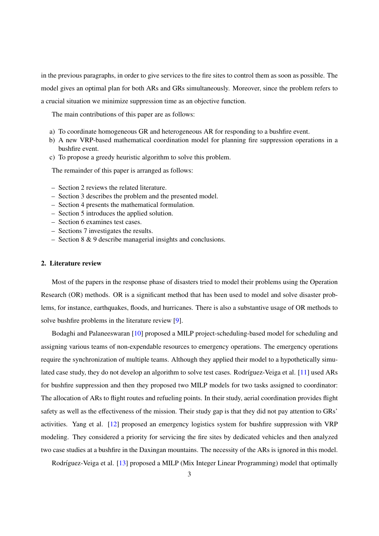in the previous paragraphs, in order to give services to the fire sites to control them as soon as possible. The model gives an optimal plan for both ARs and GRs simultaneously. Moreover, since the problem refers to a crucial situation we minimize suppression time as an objective function.

The main contributions of this paper are as follows:

- a) To coordinate homogeneous GR and heterogeneous AR for responding to a bushfire event.
- b) A new VRP-based mathematical coordination model for planning fire suppression operations in a bushfire event.
- c) To propose a greedy heuristic algorithm to solve this problem.

The remainder of this paper is arranged as follows:

- Section 2 reviews the related literature.
- Section 3 describes the problem and the presented model.
- Section 4 presents the mathematical formulation.
- Section 5 introduces the applied solution.
- Section 6 examines test cases.
- Sections 7 investigates the results.
- Section 8 & 9 describe managerial insights and conclusions.

## 2. Literature review

Most of the papers in the response phase of disasters tried to model their problems using the Operation Research (OR) methods. OR is a significant method that has been used to model and solve disaster problems, for instance, earthquakes, floods, and hurricanes. There is also a substantive usage of OR methods to solve bushfire problems in the literature review [\[9\]](#page-17-8).

Bodaghi and Palaneeswaran [\[10\]](#page-17-9) proposed a MILP project-scheduling-based model for scheduling and assigning various teams of non-expendable resources to emergency operations. The emergency operations require the synchronization of multiple teams. Although they applied their model to a hypothetically simu-lated case study, they do not develop an algorithm to solve test cases. Rodríguez-Veiga et al. [\[11\]](#page-17-10) used ARs for bushfire suppression and then they proposed two MILP models for two tasks assigned to coordinator: The allocation of ARs to flight routes and refueling points. In their study, aerial coordination provides flight safety as well as the effectiveness of the mission. Their study gap is that they did not pay attention to GRs' activities. Yang et al. [\[12\]](#page-17-11) proposed an emergency logistics system for bushfire suppression with VRP modeling. They considered a priority for servicing the fire sites by dedicated vehicles and then analyzed two case studies at a bushfire in the Daxingan mountains. The necessity of the ARs is ignored in this model.

Rodríguez-Veiga et al. [\[13\]](#page-17-12) proposed a MILP (Mix Integer Linear Programming) model that optimally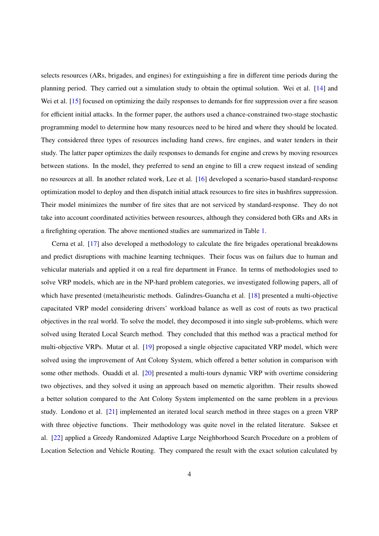selects resources (ARs, brigades, and engines) for extinguishing a fire in different time periods during the planning period. They carried out a simulation study to obtain the optimal solution. Wei et al. [\[14\]](#page-17-13) and Wei et al. [\[15\]](#page-17-14) focused on optimizing the daily responses to demands for fire suppression over a fire season for efficient initial attacks. In the former paper, the authors used a chance-constrained two-stage stochastic programming model to determine how many resources need to be hired and where they should be located. They considered three types of resources including hand crews, fire engines, and water tenders in their study. The latter paper optimizes the daily responses to demands for engine and crews by moving resources between stations. In the model, they preferred to send an engine to fill a crew request instead of sending no resources at all. In another related work, Lee et al. [\[16\]](#page-18-0) developed a scenario-based standard-response optimization model to deploy and then dispatch initial attack resources to fire sites in bushfires suppression. Their model minimizes the number of fire sites that are not serviced by standard-response. They do not take into account coordinated activities between resources, although they considered both GRs and ARs in a firefighting operation. The above mentioned studies are summarized in Table [1.](#page-20-0)

Cerna et al. [\[17\]](#page-18-1) also developed a methodology to calculate the fire brigades operational breakdowns and predict disruptions with machine learning techniques. Their focus was on failurs due to human and vehicular materials and applied it on a real fire department in France. In terms of methodologies used to solve VRP models, which are in the NP-hard problem categories, we investigated following papers, all of which have presented (meta)heuristic methods. Galindres-Guancha et al. [\[18\]](#page-18-2) presented a multi-objective capacitated VRP model considering drivers' workload balance as well as cost of routs as two practical objectives in the real world. To solve the model, they decomposed it into single sub-problems, which were solved using Iterated Local Search method. They concluded that this method was a practical method for multi-objective VRPs. Mutar et al. [\[19\]](#page-18-3) proposed a single objective capacitated VRP model, which were solved using the improvement of Ant Colony System, which offered a better solution in comparison with some other methods. Ouaddi et al. [\[20\]](#page-18-4) presented a multi-tours dynamic VRP with overtime considering two objectives, and they solved it using an approach based on memetic algorithm. Their results showed a better solution compared to the Ant Colony System implemented on the same problem in a previous study. Londono et al. [\[21\]](#page-18-5) implemented an iterated local search method in three stages on a green VRP with three objective functions. Their methodology was quite novel in the related literature. Suksee et al. [\[22\]](#page-18-6) applied a Greedy Randomized Adaptive Large Neighborhood Search Procedure on a problem of Location Selection and Vehicle Routing. They compared the result with the exact solution calculated by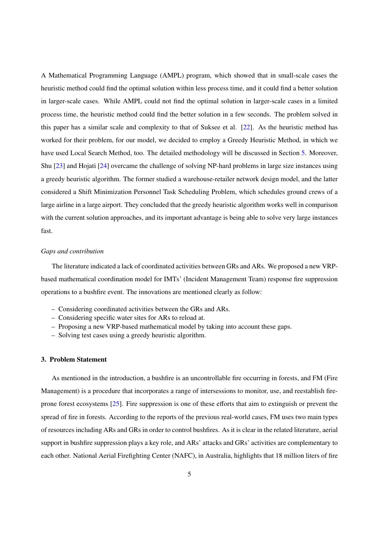A Mathematical Programming Language (AMPL) program, which showed that in small-scale cases the heuristic method could find the optimal solution within less process time, and it could find a better solution in larger-scale cases. While AMPL could not find the optimal solution in larger-scale cases in a limited process time, the heuristic method could find the better solution in a few seconds. The problem solved in this paper has a similar scale and complexity to that of Suksee et al. [\[22\]](#page-18-6). As the heuristic method has worked for their problem, for our model, we decided to employ a Greedy Heuristic Method, in which we have used Local Search Method, too. The detailed methodology will be discussed in Section [5.](#page-9-0) Moreover, Shu [\[23\]](#page-18-7) and Hojati [\[24\]](#page-18-8) overcame the challenge of solving NP-hard problems in large size instances using a greedy heuristic algorithm. The former studied a warehouse-retailer network design model, and the latter considered a Shift Minimization Personnel Task Scheduling Problem, which schedules ground crews of a large airline in a large airport. They concluded that the greedy heuristic algorithm works well in comparison with the current solution approaches, and its important advantage is being able to solve very large instances fast.

#### *Gaps and contribution*

The literature indicated a lack of coordinated activities between GRs and ARs. We proposed a new VRPbased mathematical coordination model for IMTs' (Incident Management Team) response fire suppression operations to a bushfire event. The innovations are mentioned clearly as follow:

- Considering coordinated activities between the GRs and ARs.
- Considering specific water sites for ARs to reload at.
- Proposing a new VRP-based mathematical model by taking into account these gaps.
- Solving test cases using a greedy heuristic algorithm.

## <span id="page-4-0"></span>3. Problem Statement

As mentioned in the introduction, a bushfire is an uncontrollable fire occurring in forests, and FM (Fire Management) is a procedure that incorporates a range of intersessions to monitor, use, and reestablish fireprone forest ecosystems [\[25\]](#page-18-9). Fire suppression is one of these efforts that aim to extinguish or prevent the spread of fire in forests. According to the reports of the previous real-world cases, FM uses two main types of resources including ARs and GRs in order to control bushfires. As it is clear in the related literature, aerial support in bushfire suppression plays a key role, and ARs' attacks and GRs' activities are complementary to each other. National Aerial Firefighting Center (NAFC), in Australia, highlights that 18 million liters of fire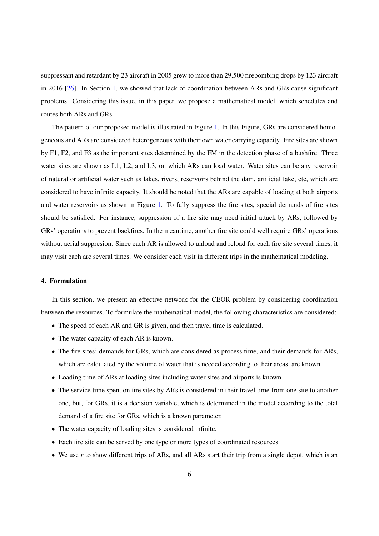suppressant and retardant by 23 aircraft in 2005 grew to more than 29,500 firebombing drops by 123 aircraft in 2016 [\[26\]](#page-18-10). In Section [1,](#page-0-0) we showed that lack of coordination between ARs and GRs cause significant problems. Considering this issue, in this paper, we propose a mathematical model, which schedules and routes both ARs and GRs.

The pattern of our proposed model is illustrated in Figure [1.](#page-19-0) In this Figure, GRs are considered homogeneous and ARs are considered heterogeneous with their own water carrying capacity. Fire sites are shown by F1, F2, and F3 as the important sites determined by the FM in the detection phase of a bushfire. Three water sites are shown as L1, L2, and L3, on which ARs can load water. Water sites can be any reservoir of natural or artificial water such as lakes, rivers, reservoirs behind the dam, artificial lake, etc, which are considered to have infinite capacity. It should be noted that the ARs are capable of loading at both airports and water reservoirs as shown in Figure [1.](#page-19-0) To fully suppress the fire sites, special demands of fire sites should be satisfied. For instance, suppression of a fire site may need initial attack by ARs, followed by GRs' operations to prevent backfires. In the meantime, another fire site could well require GRs' operations without aerial suppresion. Since each AR is allowed to unload and reload for each fire site several times, it may visit each arc several times. We consider each visit in different trips in the mathematical modeling.

### <span id="page-5-0"></span>4. Formulation

In this section, we present an effective network for the CEOR problem by considering coordination between the resources. To formulate the mathematical model, the following characteristics are considered:

- The speed of each AR and GR is given, and then travel time is calculated.
- The water capacity of each AR is known.
- The fire sites' demands for GRs, which are considered as process time, and their demands for ARs, which are calculated by the volume of water that is needed according to their areas, are known.
- Loading time of ARs at loading sites including water sites and airports is known.
- The service time spent on fire sites by ARs is considered in their travel time from one site to another one, but, for GRs, it is a decision variable, which is determined in the model according to the total demand of a fire site for GRs, which is a known parameter.
- The water capacity of loading sites is considered infinite.
- Each fire site can be served by one type or more types of coordinated resources.
- We use *r* to show different trips of ARs, and all ARs start their trip from a single depot, which is an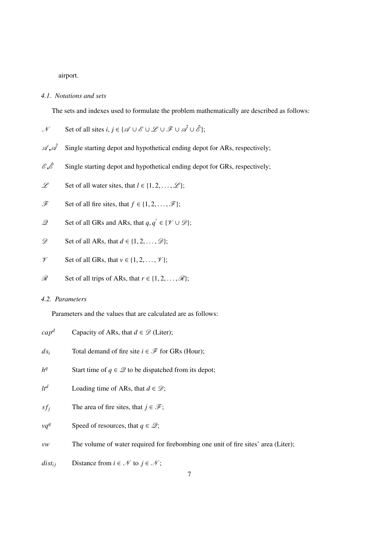airport.

## *4.1. Notations and sets*

The sets and indexes used to formulate the problem mathematically are described as follows:

$$
\mathcal{N} \qquad \text{Set of all sites } i, j \in \{\mathcal{A} \cup \mathcal{E} \cup \mathcal{L} \cup \mathcal{F} \cup \mathcal{A} \cup \mathcal{E}\};
$$

- $\mathscr{A}, \mathscr{A}$  Single starting depot and hypothetical ending depot for ARs, respectively;
- $\mathscr{E}, \hat{\mathscr{E}}$  Single starting depot and hypothetical ending depot for GRs, respectively;
- L Set of all water sites, that  $l \in \{1, 2, ..., \mathcal{L}\}\;$
- $\mathscr{F}$  Set of all fire sites, that  $f \in \{1, 2, ..., \mathscr{F}\};$
- $\mathscr{Q}$  Set of all GRs and ARs, that  $q, q' \in \{ \mathscr{V} \cup \mathscr{D} \}$ ;
- $\mathscr{D}$  Set of all ARs, that  $d \in \{1, 2, ..., \mathscr{D}\};$
- $\mathcal V$  Set of all GRs, that  $v \in \{1, 2, ..., \mathcal V\}$ ;
- $\mathscr{R}$  Set of all trips of ARs, that  $r \in \{1, 2, ..., \mathscr{R}\}\;$

## *4.2. Parameters*

Parameters and the values that are calculated are as follows:

| $cap^d$     | Capacity of ARs, that $d \in \mathcal{D}$ (Liter);                                 |
|-------------|------------------------------------------------------------------------------------|
| $ds_i$      | Total demand of fire site $i \in \mathcal{F}$ for GRs (Hour);                      |
| $h^q$       | Start time of $q \in \mathcal{Q}$ to be dispatched from its depot;                 |
| $lt^d$      | Loading time of ARs, that $d \in \mathcal{D}$ ;                                    |
| $sf_i$      | The area of fire sites, that $j \in \mathcal{F}$ ;                                 |
| $vq^q$      | Speed of resources, that $q \in \mathcal{Q}$ ;                                     |
| vw          | The volume of water required for firebombing one unit of fire sites' area (Liter); |
| $dist_{ii}$ | Distance from $i \in \mathcal{N}$ to $j \in \mathcal{N}$ ;                         |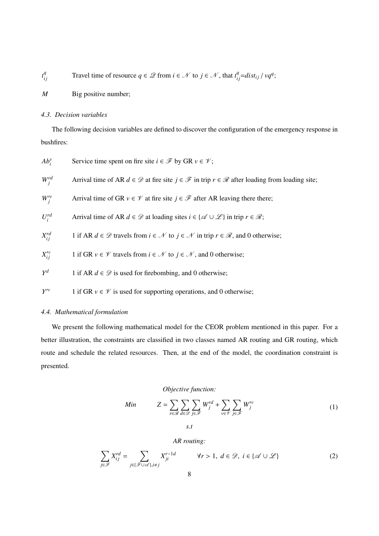$$
t_{ij}^q
$$
 Travel time of resource  $q \in \mathcal{Q}$  from  $i \in \mathcal{N}$  to  $j \in \mathcal{N}$ , that  $t_{ij}^q = dist_{ij} / vq^q$ ;

*M* Big positive number;

## *4.3. Decision variables*

The following decision variables are defined to discover the configuration of the emergency response in bushfires:

| $Ab_i^v$                | Service time spent on fire site $i \in \mathcal{F}$ by GR $v \in \mathcal{V}$ ;                                                      |
|-------------------------|--------------------------------------------------------------------------------------------------------------------------------------|
| $W_i^{rd}$              | Arrival time of AR $d \in \mathcal{D}$ at fire site $j \in \mathcal{F}$ in trip $r \in \mathcal{R}$ after loading from loading site; |
| $W_i^{\prime\nu}$       | Arrival time of GR $v \in \mathcal{V}$ at fire site $j \in \mathcal{F}$ after AR leaving there there;                                |
| $U_i^{rd}$              | Arrival time of AR $d \in \mathcal{D}$ at loading sites $i \in \{ \mathcal{A} \cup \mathcal{L} \}$ in trip $r \in \mathcal{R}$ ;     |
| $X_{ii}^{rd}$           | 1 if AR $d \in \mathcal{D}$ travels from $i \in \mathcal{N}$ to $j \in \mathcal{N}$ in trip $r \in \mathcal{R}$ , and 0 otherwise;   |
| $X_{ii}^{\prime\prime}$ | 1 if GR $v \in \mathcal{V}$ travels from $i \in \mathcal{N}$ to $j \in \mathcal{N}$ , and 0 otherwise;                               |
| $Y^d$                   | 1 if AR $d \in \mathcal{D}$ is used for firebombing, and 0 otherwise;                                                                |
| $Y^{\prime\prime}$      | 1 if GR $v \in \mathcal{V}$ is used for supporting operations, and 0 otherwise;                                                      |

## *4.4. Mathematical formulation*

We present the following mathematical model for the CEOR problem mentioned in this paper. For a better illustration, the constraints are classified in two classes named AR routing and GR routing, which route and schedule the related resources. Then, at the end of the model, the coordination constraint is presented.

## *Objective function:*

Min 
$$
Z = \sum_{r \in \mathcal{R}} \sum_{d \in \mathcal{D}} \sum_{j \in \mathcal{F}} W_j^{rd} + \sum_{v \in \mathcal{V}} \sum_{j \in \mathcal{F}} W_j^{\prime v}
$$
 (1)

<span id="page-7-1"></span><span id="page-7-0"></span>*AR routing:*

$$
\sum_{j \in \mathcal{F}} X_{ij}^{rd} = \sum_{j \in \{\mathcal{F} \cup \mathcal{A}\}, i \neq j} X_{ji}^{r-1d} \qquad \forall r > 1, d \in \mathcal{D}, i \in \{\mathcal{A} \cup \mathcal{L}\}\
$$
 (2)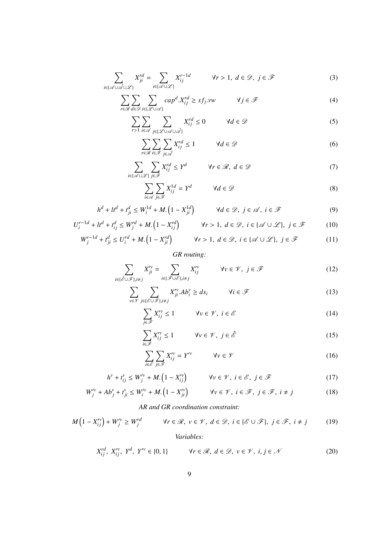$$
\sum_{i \in \{\mathscr{A} \cup \mathscr{A} \cup \mathscr{L}\}} X_{ji}^{rd} = \sum_{i \in \{\mathscr{A} \cup \mathscr{L}\}} X_{ij}^{r-1d} \qquad \forall r > 1, d \in \mathscr{D}, j \in \mathscr{F}
$$
 (3)

$$
\sum_{r \in \mathcal{R}} \sum_{d \in \mathcal{D}} \sum_{i \in \{\mathcal{L} \cup \mathcal{A}\}} cap^d.X_{ij}^{rd} \ge sf_j.vw \qquad \forall j \in \mathcal{F}
$$
 (4)

$$
\sum_{r>1} \sum_{i \in \mathcal{A}} \sum_{j \in \{\mathcal{L} \cup \mathcal{A} \cup \mathcal{A}\}} X_{ij}^{rd} \le 0 \qquad \forall d \in \mathcal{D}
$$
 (5)

<span id="page-8-4"></span><span id="page-8-3"></span><span id="page-8-2"></span><span id="page-8-1"></span>
$$
\sum_{r \in \mathcal{R}} \sum_{i \in \mathcal{F}} \sum_{j \in \mathcal{A}} X_{ij}^{rd} \le 1 \qquad \forall d \in \mathcal{D}
$$
 (6)

$$
\sum_{i \in \{\mathscr{A} \cup \mathscr{L}\}} \sum_{j \in \mathscr{F}} X_{ij}^{rd} \le Y^d \qquad \forall r \in \mathscr{R}, \ d \in \mathscr{D} \tag{7}
$$

$$
\sum_{i \in \mathcal{A}} \sum_{j \in \mathcal{F}} X_{ij}^{1d} = Y^d \qquad \forall d \in \mathcal{D}
$$
 (8)

$$
h^{d} + lt^{d} + t_{ji}^{d} \le W_{i}^{1d} + M \left(1 - X_{ji}^{1d}\right) \qquad \forall d \in \mathcal{D}, \ j \in \mathcal{A}, \ i \in \mathcal{F}
$$
 (9)

$$
U_i^{r-1d} + lt^d + t_{ij}^d \le W_j^{rd} + M.\left(1 - X_{ij}^{rd}\right) \qquad \forall r > 1, \ d \in \mathcal{D}, \ i \in \{\mathcal{A} \cup \mathcal{L}\}, \ j \in \mathcal{F}
$$
 (10)

$$
W_j^{r-1d} + t_{ji}^d \le U_i^{rd} + M.\left(1 - X_{ji}^{rd}\right) \qquad \forall r > 1, \ d \in \mathcal{D}, \ i \in \{\mathcal{A} \cup \mathcal{L}\}, \ j \in \mathcal{F}
$$
 (11)

## <span id="page-8-10"></span><span id="page-8-8"></span><span id="page-8-7"></span><span id="page-8-6"></span><span id="page-8-5"></span><span id="page-8-0"></span>*GR routing:*

$$
\sum_{i \in \{\hat{\mathscr{E}} \cup \mathscr{F}\}, i \neq j} X_{ji}^{\prime \nu} = \sum_{i \in \{\mathscr{F} \cup \mathscr{E}\}, i \neq j} X_{ij}^{\prime \nu} \qquad \forall \nu \in \mathscr{V}, \ j \in \mathscr{F}
$$
\n(12)

$$
\sum_{v \in \mathcal{V}} \sum_{j \in \{\mathcal{E} \cup \mathcal{F}\}, i \neq j} X_{ji}^{\prime v} . Ab_i^v \ge ds_i \qquad \forall i \in \mathcal{F}
$$
\n(13)

$$
\sum_{j \in \mathcal{F}} X_{ij}^{\prime \nu} \le 1 \qquad \forall \nu \in \mathcal{V}, \ i \in \mathcal{E}
$$
 (14)

$$
\sum_{i \in \mathcal{F}} X_{ij}^{\prime \nu} \le 1 \qquad \forall \nu \in \mathcal{V}, \ j \in \hat{\mathcal{E}} \tag{15}
$$

$$
\sum_{i \in \mathcal{E}} \sum_{j \in \mathcal{F}} X_{ij}^{\prime \nu} = Y^{\prime \nu} \qquad \forall \nu \in \mathcal{V} \tag{16}
$$

$$
h^{\nu} + t_{ij}^{\nu} \le W_j^{\prime \nu} + M. (1 - X_{ij}^{\prime \nu}) \qquad \forall \nu \in \mathcal{V}, i \in \mathcal{E}, j \in \mathcal{F}
$$
 (17)

$$
W_j^{\prime \nu} + Ab_j^{\nu} + t_{ji}^{\nu} \le W_i^{\prime \nu} + M. (1 - X_{ji}^{\prime \nu}) \qquad \forall \nu \in \mathcal{V}, i \in \mathcal{F}, j \in \mathcal{F}, i \ne j
$$
 (18)

*AR and GR coordination constraint:*

$$
M\left(1 - X_{ij}^{\prime\prime}\right) + W_j^{\prime\prime} \ge W_j^{rd} \qquad \forall r \in \mathcal{R}, \ v \in \mathcal{V}, \ d \in \mathcal{D}, \ i \in \{\mathcal{E} \cup \mathcal{F}\}, \ j \in \mathcal{F}, \ i \ne j \tag{19}
$$

## <span id="page-8-12"></span><span id="page-8-11"></span><span id="page-8-9"></span>*Variables:*

$$
X_{ij}^{rd}, X_{ij}^{\prime\prime}, Y^{d}, Y^{\prime\prime} \in \{0, 1\} \qquad \forall r \in \mathcal{R}, d \in \mathcal{D}, v \in \mathcal{V}, i, j \in \mathcal{N} \tag{20}
$$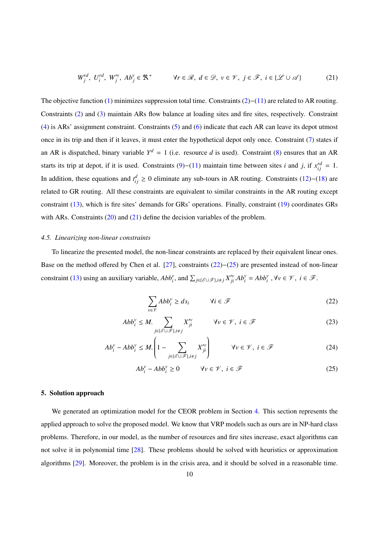<span id="page-9-1"></span>
$$
W_j^{rd}, U_i^{rd}, W_j^{\prime\nu}, Ab_j^{\nu} \in \mathbb{R}^+ \qquad \forall r \in \mathcal{R}, d \in \mathcal{D}, \nu \in \mathcal{V}, j \in \mathcal{F}, i \in \{\mathcal{L} \cup \mathcal{A}\}
$$
 (21)

The objective function [\(1\)](#page-7-0) minimizes suppression total time. Constraints [\(2\)](#page-7-1)−[\(11\)](#page-8-0) are related to AR routing. Constraints [\(2\)](#page-7-1) and [\(3\)](#page-8-1) maintain ARs flow balance at loading sites and fire sites, respectively. Constraint [\(4\)](#page-8-2) is ARs' assignment constraint. Constraints [\(5\)](#page-8-3) and [\(6\)](#page-8-4) indicate that each AR can leave its depot utmost once in its trip and then if it leaves, it must enter the hypothetical depot only once. Constraint [\(7\)](#page-8-5) states if an AR is dispatched, binary variable  $Y^d = 1$  (i.e. resource d is used). Constraint [\(8\)](#page-8-6) ensures that an AR starts its trip at depot, if it is used. Constraints  $(9)$ – $(11)$  maintain time between sites *i* and *j*, if  $x_{ij}^{rd} = 1$ . In addition, these equations and  $t_{ij}^d \geq 0$  eliminate any sub-tours in AR routing. Constraints [\(12\)](#page-8-8)–[\(18\)](#page-8-9) are related to GR routing. All these constraints are equivalent to similar constraints in the AR routing except constraint [\(13\)](#page-8-10), which is fire sites' demands for GRs' operations. Finally, constraint [\(19\)](#page-8-11) coordinates GRs with ARs. Constraints [\(20\)](#page-8-12) and [\(21\)](#page-9-1) define the decision variables of the problem.

#### *4.5. Linearizing non-linear constraints*

To linearize the presented model, the non-linear constraints are replaced by their equivalent linear ones. Base on the method offered by Chen et al. [\[27\]](#page-18-11), constraints [\(22\)](#page-9-2)−[\(25\)](#page-9-3) are presented instead of non-linear constraint [\(13\)](#page-8-10) using an auxiliary variable,  $Abb_i^v$ , and  $\sum_{j \in \{\mathscr{E} \cup \mathscr{F}\}, i \neq j} X_{ji}^v$ .  $Ab_i^v = Abb_i^v$ ,  $\forall v \in \mathscr{V}$ ,  $i \in \mathscr{F}$ .

<span id="page-9-2"></span>
$$
\sum_{v \in \mathcal{V}} Abb_i^v \ge ds_i \qquad \forall i \in \mathcal{F}
$$
\n(22)

$$
Abb_i^{\nu} \le M. \sum_{j \in \{\mathcal{E} \cup \mathcal{F}\}, i \ne j} X_{ji}^{\prime \nu} \qquad \forall \nu \in \mathcal{V}, i \in \mathcal{F}
$$
 (23)

$$
Ab_i^{\nu} - Abb_i^{\nu} \le M \left(1 - \sum_{j \in \{\mathscr{E} \cup \mathscr{F}\}, i \ne j} X_{ji}^{\prime \nu}\right) \qquad \forall \nu \in \mathscr{V}, i \in \mathscr{F}
$$
 (24)

<span id="page-9-3"></span>
$$
Ab_i^{\nu} - Abb_i^{\nu} \ge 0 \qquad \forall \nu \in \mathcal{V}, i \in \mathcal{F}
$$
 (25)

### <span id="page-9-0"></span>5. Solution approach

We generated an optimization model for the CEOR problem in Section [4.](#page-5-0) This section represents the applied approach to solve the proposed model. We know that VRP models such as ours are in NP-hard class problems. Therefore, in our model, as the number of resources and fire sites increase, exact algorithms can not solve it in polynomial time [\[28\]](#page-18-12). These problems should be solved with heuristics or approximation algorithms [\[29\]](#page-18-13). Moreover, the problem is in the crisis area, and it should be solved in a reasonable time.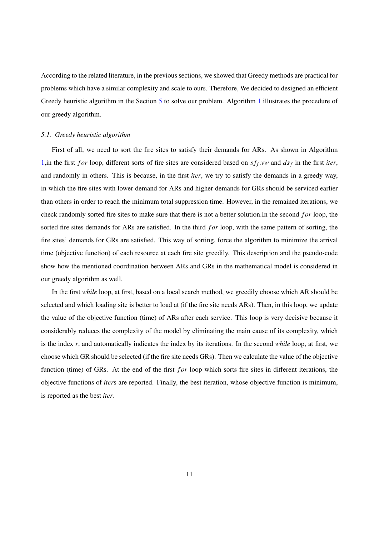According to the related literature, in the previous sections, we showed that Greedy methods are practical for problems which have a similar complexity and scale to ours. Therefore, We decided to designed an efficient Greedy heuristic algorithm in the Section [5](#page-9-0) to solve our problem. Algorithm [1](#page-11-0) illustrates the procedure of our greedy algorithm.

#### *5.1. Greedy heuristic algorithm*

First of all, we need to sort the fire sites to satisfy their demands for ARs. As shown in Algorithm [1,](#page-11-0)in the first *for* loop, different sorts of fire sites are considered based on  $sf_f$ .*vw* and  $ds_f$  in the first *iter*, and randomly in others. This is because, in the first *iter*, we try to satisfy the demands in a greedy way, in which the fire sites with lower demand for ARs and higher demands for GRs should be serviced earlier than others in order to reach the minimum total suppression time. However, in the remained iterations, we check randomly sorted fire sites to make sure that there is not a better solution.In the second *for* loop, the sorted fire sites demands for ARs are satisfied. In the third *for* loop, with the same pattern of sorting, the fire sites' demands for GRs are satisfied. This way of sorting, force the algorithm to minimize the arrival time (objective function) of each resource at each fire site greedily. This description and the pseudo-code show how the mentioned coordination between ARs and GRs in the mathematical model is considered in our greedy algorithm as well.

In the first *while* loop, at first, based on a local search method, we greedily choose which AR should be selected and which loading site is better to load at (if the fire site needs ARs). Then, in this loop, we update the value of the objective function (time) of ARs after each service. This loop is very decisive because it considerably reduces the complexity of the model by eliminating the main cause of its complexity, which is the index *r*, and automatically indicates the index by its iterations. In the second *while* loop, at first, we choose which GR should be selected (if the fire site needs GRs). Then we calculate the value of the objective function (time) of GRs. At the end of the first *for* loop which sorts fire sites in different iterations, the objective functions of *iter*s are reported. Finally, the best iteration, whose objective function is minimum, is reported as the best *iter*.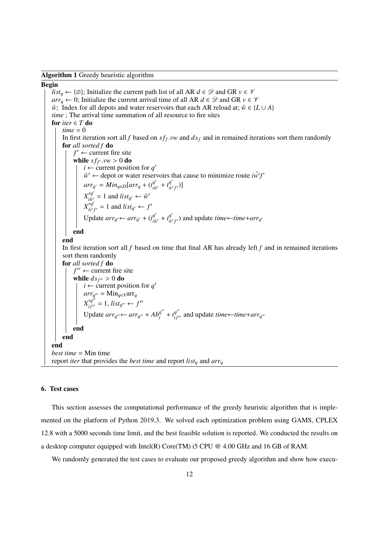<span id="page-11-0"></span>Algorithm 1 Greedy heuristic algorithm

#### Begin

*list<sub>a</sub>* ← {∅}; Initialize the current path list of all AR  $d \in \mathcal{D}$  and GR  $v \in \mathcal{V}$ *arr*<sub>q</sub> ← 0; Initialize the current arrival time of all AR  $d \in \mathcal{D}$  and GR  $v \in \mathcal{V}$  $\hat{w}$ ; Index for all depots and water reservoirs that each AR reload at;  $\hat{w} \in \{L \cup A\}$ *time* ; The arrival time summation of all resource to fire sites for  $iter \in T$  do  $time = 0$ In first iteration sort all *f* based on  $sf_f$ .*vw* and  $ds_f$  and in remained iterations sort them randomly for all sorted f do for *all sorted f* do  $f' \leftarrow$  current fire site **while**  $sf_{f'}$ .*vw* > 0 **do**<br>  $\mid$  *i*  $\leftarrow$  current position  $i \leftarrow$  current position for  $q'$  $\hat{w}' \leftarrow$  depot or water reservoirs that cause to minimize route  $\hat{w}'f'$  $arr_{q'} = Min_{q \in D}[arr_{q} + (t_{i\hat{w}}^{q'})]$  $\frac{q'}{i\hat{w}'} + t^{q'}_{\hat{w}}$ *g*<sub>*w*'f'</sub>)]  $X_{i\hat{w}'}^{rq'}$  $i\hat{w}'_j = 1$  and  $list_{q'} \leftarrow \hat{w}'$  $X^{rq'}_{\hat{w}'}$  $\int_{\hat{w}'f'}^{rq'} = 1$  and  $list_{q'} \leftarrow f'$ Update  $arr_{q'}$  ←  $arr_{q'}$  +  $(t_{\text{in}}^{q'})$  $\frac{q'}{i\hat{w}'} + t^{q'}_{\hat{w}'}$  $\frac{q}{\hat{w}'f'}$ ) and update *time*←*time*+*arr*<sub>*q*</sub> end end In first iteration sort all *f* based on time that final AR has already left *f* and in remained iterations sort them randomly for *all sorted f* do  $f'' \leftarrow$  current fire site while  $ds_{f''} > 0$  do<br>  $\downarrow i \leftarrow$  current po  $i \leftarrow$  current position for  $q'$  $arr_{q''}$  = Min<sub>q∈</sub>*v*arr<sub>q</sub>  $X'_{if''} = 1$ ,  $list_{q''} \leftarrow f''$ Update  $arr_{q''} \leftarrow arr_{q''} + Ab_i^{q''}$  $a_i^{q'} + t_{if'}^{q''}$  and update *time*←*time*+*arr<sub>q'</sub>* end end end *best time* = Min time report *iter* that provides the *best time* and report *list<sup>q</sup>* and *arr<sup>q</sup>*

## 6. Test cases

This section assesses the computational performance of the greedy heuristic algorithm that is implemented on the platform of Python 2019.3. We solved each optimization problem using GAMS, CPLEX 12.8 with a 5000 seconds time limit, and the best feasible solution is reported. We conducted the results on a desktop computer equipped with Intel(R) Core(TM) i5 CPU @ 4.00 GHz and 16 GB of RAM.

We randomly generated the test cases to evaluate our proposed greedy algorithm and show how execu-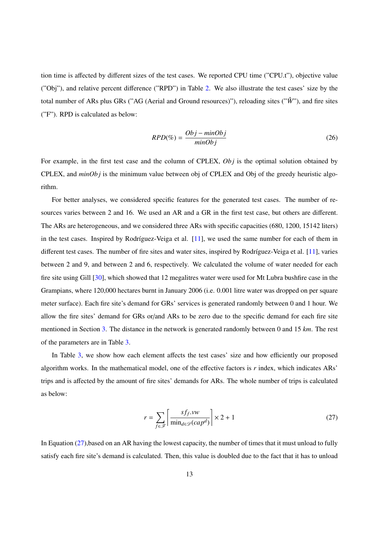tion time is affected by different sizes of the test cases. We reported CPU time ("CPU.t"), objective value ("Obj"), and relative percent difference ("RPD") in Table [2.](#page-20-1) We also illustrate the test cases' size by the total number of ARs plus GRs ("AG (Aerial and Ground resources)"), reloading sites (" $\hat{W}$ "), and fire sites ("F"). RPD is calculated as below:

$$
RPD(\%) = \frac{Obj - minObj}{minObj}
$$
\n(26)

For example, in the first test case and the column of CPLEX, *Ob j* is the optimal solution obtained by CPLEX, and *minOb j* is the minimum value between obj of CPLEX and Obj of the greedy heuristic algorithm.

For better analyses, we considered specific features for the generated test cases. The number of resources varies between 2 and 16. We used an AR and a GR in the first test case, but others are different. The ARs are heterogeneous, and we considered three ARs with specific capacities (680, 1200, 15142 liters) in the test cases. Inspired by Rodríguez-Veiga et al.  $[11]$ , we used the same number for each of them in different test cases. The number of fire sites and water sites, inspired by Rodríguez-Veiga et al. [\[11\]](#page-17-10), varies between 2 and 9, and between 2 and 6, respectively. We calculated the volume of water needed for each fire site using Gill [\[30\]](#page-18-14), which showed that 12 megalitres water were used for Mt Lubra bushfire case in the Grampians, where 120,000 hectares burnt in January 2006 (i.e. 0.001 litre water was dropped on per square meter surface). Each fire site's demand for GRs' services is generated randomly between 0 and 1 hour. We allow the fire sites' demand for GRs or/and ARs to be zero due to the specific demand for each fire site mentioned in Section [3.](#page-4-0) The distance in the network is generated randomly between 0 and 15 *km*. The rest of the parameters are in Table [3.](#page-21-0)

In Table [3,](#page-21-0) we show how each element affects the test cases' size and how efficiently our proposed algorithm works. In the mathematical model, one of the effective factors is *r* index, which indicates ARs' trips and is affected by the amount of fire sites' demands for ARs. The whole number of trips is calculated as below:

<span id="page-12-0"></span>
$$
r = \sum_{f \in \mathcal{F}} \left[ \frac{sf_{\mathit{f}} \cdot vw}{\min_{d \in \mathcal{D}} (cap^d)} \right] \times 2 + 1 \tag{27}
$$

In Equation [\(27\)](#page-12-0), based on an AR having the lowest capacity, the number of times that it must unload to fully satisfy each fire site's demand is calculated. Then, this value is doubled due to the fact that it has to unload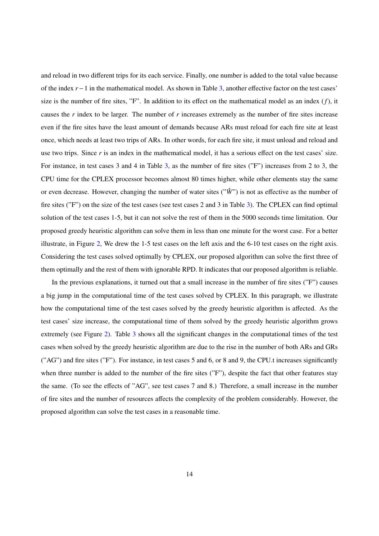and reload in two different trips for its each service. Finally, one number is added to the total value because of the index *r*−1 in the mathematical model. As shown in Table [3,](#page-21-0) another effective factor on the test cases' size is the number of fire sites, "F". In addition to its effect on the mathematical model as an index (*f*), it causes the *r* index to be larger. The number of *r* increases extremely as the number of fire sites increase even if the fire sites have the least amount of demands because ARs must reload for each fire site at least once, which needs at least two trips of ARs. In other words, for each fire site, it must unload and reload and use two trips. Since *r* is an index in the mathematical model, it has a serious effect on the test cases' size. For instance, in test cases 3 and 4 in Table [3,](#page-21-0) as the number of fire sites ("F") increases from 2 to 3, the CPU time for the CPLEX processor becomes almost 80 times higher, while other elements stay the same or even decrease. However, changing the number of water sites  $(\hat{W}^n)$  is not as effective as the number of fire sites ("F") on the size of the test cases (see test cases 2 and 3 in Table [3\)](#page-21-0). The CPLEX can find optimal solution of the test cases 1-5, but it can not solve the rest of them in the 5000 seconds time limitation. Our proposed greedy heuristic algorithm can solve them in less than one minute for the worst case. For a better illustrate, in Figure [2,](#page-19-1) We drew the 1-5 test cases on the left axis and the 6-10 test cases on the right axis. Considering the test cases solved optimally by CPLEX, our proposed algorithm can solve the first three of them optimally and the rest of them with ignorable RPD. It indicates that our proposed algorithm is reliable.

In the previous explanations, it turned out that a small increase in the number of fire sites ("F") causes a big jump in the computational time of the test cases solved by CPLEX. In this paragraph, we illustrate how the computational time of the test cases solved by the greedy heuristic algorithm is affected. As the test cases' size increase, the computational time of them solved by the greedy heuristic algorithm grows extremely (see Figure [2\)](#page-19-1). Table [3](#page-21-0) shows all the significant changes in the computational times of the test cases when solved by the greedy heuristic algorithm are due to the rise in the number of both ARs and GRs ("AG") and fire sites ("F"). For instance, in test cases 5 and 6, or 8 and 9, the CPU.t increases significantly when three number is added to the number of the fire sites ("F"), despite the fact that other features stay the same. (To see the effects of "AG", see test cases 7 and 8.) Therefore, a small increase in the number of fire sites and the number of resources affects the complexity of the problem considerably. However, the proposed algorithm can solve the test cases in a reasonable time.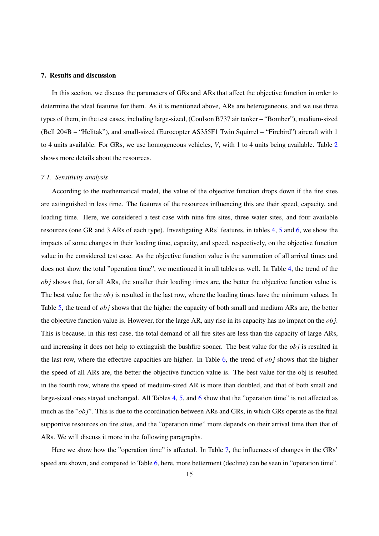## <span id="page-14-0"></span>7. Results and discussion

In this section, we discuss the parameters of GRs and ARs that affect the objective function in order to determine the ideal features for them. As it is mentioned above, ARs are heterogeneous, and we use three types of them, in the test cases, including large-sized, (Coulson B737 air tanker – "Bomber"), medium-sized (Bell 204B – "Helitak"), and small-sized (Eurocopter AS355F1 Twin Squirrel – "Firebird") aircraft with 1 to 4 units available. For GRs, we use homogeneous vehicles, *V*, with 1 to 4 units being available. Table [2](#page-20-1) shows more details about the resources.

## *7.1. Sensitivity analysis*

According to the mathematical model, the value of the objective function drops down if the fire sites are extinguished in less time. The features of the resources influencing this are their speed, capacity, and loading time. Here, we considered a test case with nine fire sites, three water sites, and four available resources (one GR and 3 ARs of each type). Investigating ARs' features, in tables [4,](#page-21-1) [5](#page-21-2) and [6,](#page-21-3) we show the impacts of some changes in their loading time, capacity, and speed, respectively, on the objective function value in the considered test case. As the objective function value is the summation of all arrival times and does not show the total "operation time", we mentioned it in all tables as well. In Table [4,](#page-21-1) the trend of the *ob j* shows that, for all ARs, the smaller their loading times are, the better the objective function value is. The best value for the *ob j* is resulted in the last row, where the loading times have the minimum values. In Table [5,](#page-21-2) the trend of *ob j* shows that the higher the capacity of both small and medium ARs are, the better the objective function value is. However, for the large AR, any rise in its capacity has no impact on the *ob j*. This is because, in this test case, the total demand of all fire sites are less than the capacity of large ARs, and increasing it does not help to extinguish the bushfire sooner. The best value for the *ob j* is resulted in the last row, where the effective capacities are higher. In Table [6,](#page-21-3) the trend of *ob j* shows that the higher the speed of all ARs are, the better the objective function value is. The best value for the obj is resulted in the fourth row, where the speed of meduim-sized AR is more than doubled, and that of both small and large-sized ones stayed unchanged. All Tables [4,](#page-21-1) [5,](#page-21-2) and [6](#page-21-3) show that the "operation time" is not affected as much as the "*ob j*". This is due to the coordination between ARs and GRs, in which GRs operate as the final supportive resources on fire sites, and the "operation time" more depends on their arrival time than that of ARs. We will discuss it more in the following paragraphs.

Here we show how the "operation time" is affected. In Table [7,](#page-22-0) the influences of changes in the GRs' speed are shown, and compared to Table [6,](#page-21-3) here, more betterment (decline) can be seen in "operation time".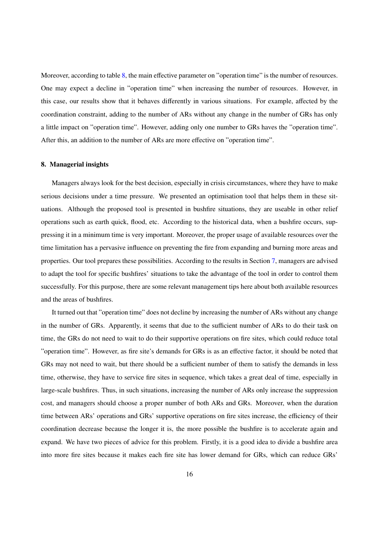Moreover, according to table [8,](#page-22-1) the main effective parameter on "operation time" is the number of resources. One may expect a decline in "operation time" when increasing the number of resources. However, in this case, our results show that it behaves differently in various situations. For example, affected by the coordination constraint, adding to the number of ARs without any change in the number of GRs has only a little impact on "operation time". However, adding only one number to GRs haves the "operation time". After this, an addition to the number of ARs are more effective on "operation time".

#### 8. Managerial insights

Managers always look for the best decision, especially in crisis circumstances, where they have to make serious decisions under a time pressure. We presented an optimisation tool that helps them in these situations. Although the proposed tool is presented in bushfire situations, they are useable in other relief operations such as earth quick, flood, etc. According to the historical data, when a bushfire occurs, suppressing it in a minimum time is very important. Moreover, the proper usage of available resources over the time limitation has a pervasive influence on preventing the fire from expanding and burning more areas and properties. Our tool prepares these possibilities. According to the results in Section [7,](#page-14-0) managers are advised to adapt the tool for specific bushfires' situations to take the advantage of the tool in order to control them successfully. For this purpose, there are some relevant management tips here about both available resources and the areas of bushfires.

It turned out that "operation time" does not decline by increasing the number of ARs without any change in the number of GRs. Apparently, it seems that due to the sufficient number of ARs to do their task on time, the GRs do not need to wait to do their supportive operations on fire sites, which could reduce total "operation time". However, as fire site's demands for GRs is as an effective factor, it should be noted that GRs may not need to wait, but there should be a sufficient number of them to satisfy the demands in less time, otherwise, they have to service fire sites in sequence, which takes a great deal of time, especially in large-scale bushfires. Thus, in such situations, increasing the number of ARs only increase the suppression cost, and managers should choose a proper number of both ARs and GRs. Moreover, when the duration time between ARs' operations and GRs' supportive operations on fire sites increase, the efficiency of their coordination decrease because the longer it is, the more possible the bushfire is to accelerate again and expand. We have two pieces of advice for this problem. Firstly, it is a good idea to divide a bushfire area into more fire sites because it makes each fire site has lower demand for GRs, which can reduce GRs'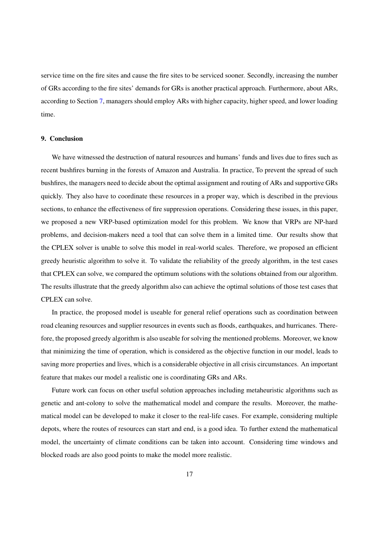service time on the fire sites and cause the fire sites to be serviced sooner. Secondly, increasing the number of GRs according to the fire sites' demands for GRs is another practical approach. Furthermore, about ARs, according to Section [7,](#page-14-0) managers should employ ARs with higher capacity, higher speed, and lower loading time.

## 9. Conclusion

We have witnessed the destruction of natural resources and humans' funds and lives due to fires such as recent bushfires burning in the forests of Amazon and Australia. In practice, To prevent the spread of such bushfires, the managers need to decide about the optimal assignment and routing of ARs and supportive GRs quickly. They also have to coordinate these resources in a proper way, which is described in the previous sections, to enhance the effectiveness of fire suppression operations. Considering these issues, in this paper, we proposed a new VRP-based optimization model for this problem. We know that VRPs are NP-hard problems, and decision-makers need a tool that can solve them in a limited time. Our results show that the CPLEX solver is unable to solve this model in real-world scales. Therefore, we proposed an efficient greedy heuristic algorithm to solve it. To validate the reliability of the greedy algorithm, in the test cases that CPLEX can solve, we compared the optimum solutions with the solutions obtained from our algorithm. The results illustrate that the greedy algorithm also can achieve the optimal solutions of those test cases that CPLEX can solve.

In practice, the proposed model is useable for general relief operations such as coordination between road cleaning resources and supplier resources in events such as floods, earthquakes, and hurricanes. Therefore, the proposed greedy algorithm is also useable for solving the mentioned problems. Moreover, we know that minimizing the time of operation, which is considered as the objective function in our model, leads to saving more properties and lives, which is a considerable objective in all crisis circumstances. An important feature that makes our model a realistic one is coordinating GRs and ARs.

Future work can focus on other useful solution approaches including metaheuristic algorithms such as genetic and ant-colony to solve the mathematical model and compare the results. Moreover, the mathematical model can be developed to make it closer to the real-life cases. For example, considering multiple depots, where the routes of resources can start and end, is a good idea. To further extend the mathematical model, the uncertainty of climate conditions can be taken into account. Considering time windows and blocked roads are also good points to make the model more realistic.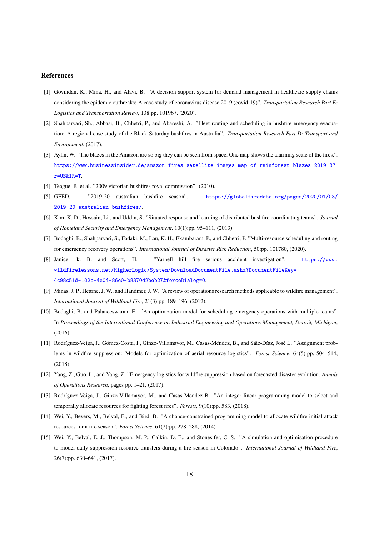#### References

- <span id="page-17-0"></span>[1] Govindan, K., Mina, H., and Alavi, B. "A decision support system for demand management in healthcare supply chains considering the epidemic outbreaks: A case study of coronavirus disease 2019 (covid-19)". *Transportation Research Part E: Logistics and Transportation Review*, 138:pp. 101967, (2020).
- <span id="page-17-1"></span>[2] Shahparvari, Sh., Abbasi, B., Chhetri, P., and Abareshi, A. "Fleet routing and scheduling in bushfire emergency evacuation: A regional case study of the Black Saturday bushfires in Australia". *Transportation Research Part D: Transport and Environment*, (2017).
- <span id="page-17-2"></span>[3] Aylin, W. "The blazes in the Amazon are so big they can be seen from space. One map shows the alarming scale of the fires.". [https://www.businessinsider.de/amazon-fires-satellite-images-map-of-rainforest-blazes-2019-8?](https://www.businessinsider.de/amazon-fires-satellite-images-map-of-rainforest-blazes-2019-8?r=US&IR=T) [r=US&IR=T](https://www.businessinsider.de/amazon-fires-satellite-images-map-of-rainforest-blazes-2019-8?r=US&IR=T).
- <span id="page-17-4"></span><span id="page-17-3"></span>[4] Teague, B. et al. "2009 victorian bushfires royal commission". (2010).
- [5] GFED. "2019-20 australian bushfire season". [https://globalfiredata.org/pages/2020/01/03/](https://globalfiredata.org/pages/2020/01/03/2019-20-australian-bushfires/) [2019-20-australian-bushfires/](https://globalfiredata.org/pages/2020/01/03/2019-20-australian-bushfires/).
- <span id="page-17-5"></span>[6] Kim, K. D., Hossain, Li., and Uddin, S. "Situated response and learning of distributed bushfire coordinating teams". *Journal of Homeland Security and Emergency Management*, 10(1):pp. 95–111, (2013).
- <span id="page-17-6"></span>[7] Bodaghi, B., Shahparvari, S., Fadaki, M., Lau, K. H., Ekambaram, P., and Chhetri, P. "Multi-resource scheduling and routing for emergency recovery operations". *International Journal of Disaster Risk Reduction*, 50:pp. 101780, (2020).
- <span id="page-17-7"></span>[8] Janice, k. B. and Scott, H. "Yarnell hill fire serious accident investigation". [https://www.](https://www.wildfirelessons.net/HigherLogic/System/DownloadDocumentFile.ashx?DocumentFileKey=4c98c51d-102c-4e04-86e0-b8370d2beb27&forceDialog=0) [wildfirelessons.net/HigherLogic/System/DownloadDocumentFile.ashx?DocumentFileKey=](https://www.wildfirelessons.net/HigherLogic/System/DownloadDocumentFile.ashx?DocumentFileKey=4c98c51d-102c-4e04-86e0-b8370d2beb27&forceDialog=0) [4c98c51d-102c-4e04-86e0-b8370d2beb27&forceDialog=0](https://www.wildfirelessons.net/HigherLogic/System/DownloadDocumentFile.ashx?DocumentFileKey=4c98c51d-102c-4e04-86e0-b8370d2beb27&forceDialog=0).
- <span id="page-17-8"></span>[9] Minas, J. P., Hearne, J. W., and Handmer, J. W. "A review of operations research methods applicable to wildfire management". *International Journal of Wildland Fire*, 21(3):pp. 189–196, (2012).
- <span id="page-17-9"></span>[10] Bodaghi, B. and Palaneeswaran, E. "An optimization model for scheduling emergency operations with multiple teams". In *Proceedings of the International Conference on Industrial Engineering and Operations Management, Detroit, Michigan*, (2016).
- <span id="page-17-10"></span>[11] Rodríguez-Veiga, J., Gómez-Costa, I., Ginzo-Villamayor, M., Casas-Méndez, B., and Sáiz-Díaz, José L. "Assignment problems in wildfire suppression: Models for optimization of aerial resource logistics". *Forest Science*, 64(5):pp. 504–514, (2018).
- <span id="page-17-11"></span>[12] Yang, Z., Guo, L., and Yang, Z. "Emergency logistics for wildfire suppression based on forecasted disaster evolution. *Annals of Operations Research*, pages pp. 1–21, (2017).
- <span id="page-17-12"></span>[13] Rodríguez-Veiga, J., Ginzo-Villamayor, M., and Casas-Méndez B. "An integer linear programming model to select and temporally allocate resources for fighting forest fires". *Forests*, 9(10):pp. 583, (2018).
- <span id="page-17-13"></span>[14] Wei, Y., Bevers, M., Belval, E., and Bird, B. "A chance-constrained programming model to allocate wildfire initial attack resources for a fire season". *Forest Science*, 61(2):pp. 278–288, (2014).
- <span id="page-17-14"></span>[15] Wei, Y., Belval, E. J., Thompson, M. P., Calkin, D. E., and Stonesifer, C. S. "A simulation and optimisation procedure to model daily suppression resource transfers during a fire season in Colorado". *International Journal of Wildland Fire*, 26(7):pp. 630–641, (2017).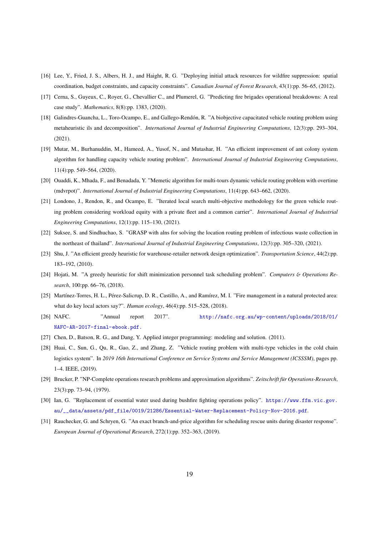- <span id="page-18-0"></span>[16] Lee, Y., Fried, J. S., Albers, H. J., and Haight, R. G. "Deploying initial attack resources for wildfire suppression: spatial coordination, budget constraints, and capacity constraints". *Canadian Journal of Forest Research*, 43(1):pp. 56–65, (2012).
- <span id="page-18-1"></span>[17] Cerna, S., Guyeux, C., Royer, G., Chevallier C., and Plumerel, G. "Predicting fire brigades operational breakdowns: A real case study". *Mathematics*, 8(8):pp. 1383, (2020).
- <span id="page-18-2"></span>[18] Galindres-Guancha, L., Toro-Ocampo, E., and Gallego-Rendón, R. "A biobjective capacitated vehicle routing problem using metaheuristic ils and decomposition". *International Journal of Industrial Engineering Computations*, 12(3):pp. 293–304, (2021).
- <span id="page-18-3"></span>[19] Mutar, M., Burhanuddin, M., Hameed, A., Yusof, N., and Mutashar, H. "An efficient improvement of ant colony system algorithm for handling capacity vehicle routing problem". *International Journal of Industrial Engineering Computations*, 11(4):pp. 549–564, (2020).
- <span id="page-18-4"></span>[20] Ouaddi, K., Mhada, F., and Benadada, Y. "Memetic algorithm for multi-tours dynamic vehicle routing problem with overtime (mdvrpot)". *International Journal of Industrial Engineering Computations*, 11(4):pp. 643–662, (2020).
- <span id="page-18-5"></span>[21] Londono, J., Rendon, R., and Ocampo, E. "Iterated local search multi-objective methodology for the green vehicle routing problem considering workload equity with a private fleet and a common carrier". *International Journal of Industrial Engineering Computations*, 12(1):pp. 115–130, (2021).
- <span id="page-18-6"></span>[22] Suksee, S. and Sindhuchao, S. "GRASP with alns for solving the location routing problem of infectious waste collection in the northeast of thailand". *International Journal of Industrial Engineering Computations*, 12(3):pp. 305–320, (2021).
- <span id="page-18-7"></span>[23] Shu, J. "An efficient greedy heuristic for warehouse-retailer network design optimization". *Transportation Science*, 44(2):pp. 183–192, (2010).
- <span id="page-18-8"></span>[24] Hojati, M. "A greedy heuristic for shift minimization personnel task scheduling problem". *Computers* & *Operations Research*, 100:pp. 66–76, (2018).
- <span id="page-18-9"></span>[25] Martínez-Torres, H. L., Pérez-Salicrup, D. R., Castillo, A., and Ramírez, M. I. "Fire management in a natural protected area: what do key local actors say?". *Human ecology*, 46(4):pp. 515–528, (2018).
- <span id="page-18-10"></span>[26] NAFC. "Annual report 2017". [http://nafc.org.au/wp-content/uploads/2018/01/](http://nafc.org.au/wp-content/uploads/2018/01/ NAFC-AR-2017-final-ebook.pdf.) [NAFC-AR-2017-final-ebook.pdf.](http://nafc.org.au/wp-content/uploads/2018/01/ NAFC-AR-2017-final-ebook.pdf.)
- <span id="page-18-12"></span><span id="page-18-11"></span>[27] Chen, D., Batson, R. G., and Dang, Y. Applied integer programming: modeling and solution. (2011).
- [28] Huai, C., Sun, G., Qu, R., Gao, Z., and Zhang, Z. "Vehicle routing problem with multi-type vehicles in the cold chain logistics system". In *2019 16th International Conference on Service Systems and Service Management (ICSSSM)*, pages pp. 1–4. IEEE, (2019).
- <span id="page-18-13"></span>[29] Brucker, P. "NP-Complete operations research problems and approximation algorithms". Zeitschrift für Operations-Research, 23(3):pp. 73–94, (1979).
- <span id="page-18-14"></span>[30] Ian, G. "Replacement of essential water used during bushfire fighting operations policy". [https://www.ffm.vic.gov.](https://www.ffm.vic.gov.au/__data/assets/pdf_file/0019/21286/Essential-Water-Replacement-Policy-Nov-2016.pdf) [au/\\_\\_data/assets/pdf\\_file/0019/21286/Essential-Water-Replacement-Policy-Nov-2016.pdf](https://www.ffm.vic.gov.au/__data/assets/pdf_file/0019/21286/Essential-Water-Replacement-Policy-Nov-2016.pdf).
- <span id="page-18-15"></span>[31] Rauchecker, G. and Schryen, G. "An exact branch-and-price algorithm for scheduling rescue units during disaster response". *European Journal of Operational Research*, 272(1):pp. 352–363, (2019).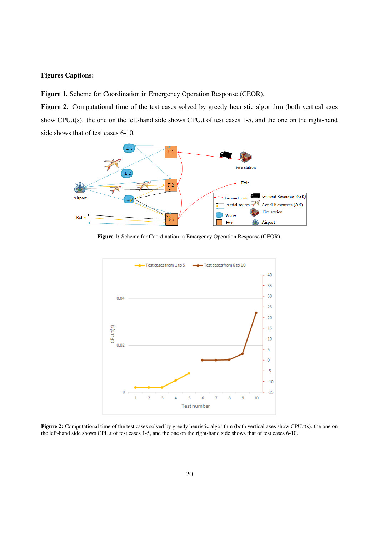## Figures Captions:

Figure 1. Scheme for Coordination in Emergency Operation Response (CEOR).

Figure 2. Computational time of the test cases solved by greedy heuristic algorithm (both vertical axes show CPU.t(s). the one on the left-hand side shows CPU.t of test cases 1-5, and the one on the right-hand side shows that of test cases 6-10.

<span id="page-19-0"></span>

Figure 1: Scheme for Coordination in Emergency Operation Response (CEOR).

<span id="page-19-1"></span>

Figure 2: Computational time of the test cases solved by greedy heuristic algorithm (both vertical axes show CPU.t(s). the one on the left-hand side shows CPU.t of test cases 1-5, and the one on the right-hand side shows that of test cases 6-10.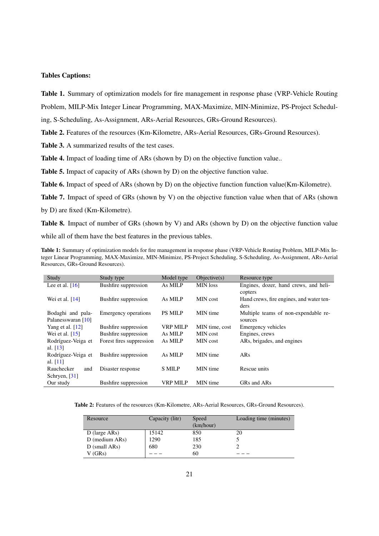## Tables Captions:

Table 1. Summary of optimization models for fire management in response phase (VRP-Vehicle Routing

Problem, MILP-Mix Integer Linear Programming, MAX-Maximize, MIN-Minimize, PS-Project Schedul-

ing, S-Scheduling, As-Assignment, ARs-Aerial Resources, GRs-Ground Resources).

Table 2. Features of the resources (Km-Kilometre, ARs-Aerial Resources, GRs-Ground Resources).

Table 3. A summarized results of the test cases.

Table 4. Impact of loading time of ARs (shown by D) on the objective function value..

Table 5. Impact of capacity of ARs (shown by D) on the objective function value.

Table 6. Impact of speed of ARs (shown by D) on the objective function function value(Km-Kilometre).

Table 7. Impact of speed of GRs (shown by V) on the objective function value when that of ARs (shown by D) are fixed (Km-Kilometre).

Table 8. Impact of number of GRs (shown by V) and ARs (shown by D) on the objective function value while all of them have the best features in the previous tables.

<span id="page-20-0"></span>Table 1: Summary of optimization models for fire management in response phase (VRP-Vehicle Routing Problem, MILP-Mix Integer Linear Programming, MAX-Maximize, MIN-Minimize, PS-Project Scheduling, S-Scheduling, As-Assignment, ARs-Aerial Resources, GRs-Ground Resources).

| Study              | Study type                  | Model type     | Objective(s)    | Resource type                            |
|--------------------|-----------------------------|----------------|-----------------|------------------------------------------|
| Lee et al. $[16]$  | <b>Bushfire</b> suppression | As MILP        | <b>MIN</b> loss | Engines, dozer, hand crews, and heli-    |
|                    |                             |                |                 | copters                                  |
| Wei et al. $[14]$  | Bushfire suppression        | As MILP        | MIN cost        | Hand crews, fire engines, and water ten- |
|                    |                             |                |                 | ders                                     |
| Bodaghi and pala-  | Emergency operations        | <b>PS MILP</b> | MIN time        | Multiple teams of non-expendable re-     |
| Palanesswaran [10] |                             |                |                 | sources                                  |
| Yang et al. $[12]$ | Bushfire suppression        | VRP MILP       | MIN time, cost  | Emergency vehicles                       |
| Wei et al. $[15]$  | Bushfire suppression        | As MILP        | MIN cost        | Engines, crews                           |
| Rodríguez-Veiga et | Forest fires suppression    | As MILP        | MIN cost        | ARs, brigades, and engines               |
| al. $[13]$         |                             |                |                 |                                          |
| Rodríguez-Veiga et | Bushfire suppression        | As MILP        | MIN time        | ARs                                      |
| al. $[11]$         |                             |                |                 |                                          |
| Rauchecker<br>and  | Disaster response           | <b>S MILP</b>  | MIN time        | Rescue units                             |
| Schryen, $[31]$    |                             |                |                 |                                          |
| Our study          | Bushfire suppression        | VRP MILP       | MIN time        | GRs and ARs                              |

<span id="page-20-1"></span>Table 2: Features of the resources (Km-Kilometre, ARs-Aerial Resources, GRs-Ground Resources).

| Resource         | Capacity (litr) | Speed     | Loading time (minutes) |
|------------------|-----------------|-----------|------------------------|
|                  |                 | (km/hour) |                        |
| D (large $ARs$ ) | 15142           | 850       | 20                     |
| $D$ (medium ARs) | 1290            | 185       |                        |
| $D$ (small ARs)  | 680             | 230       |                        |
| V (GRs)          |                 | 60        |                        |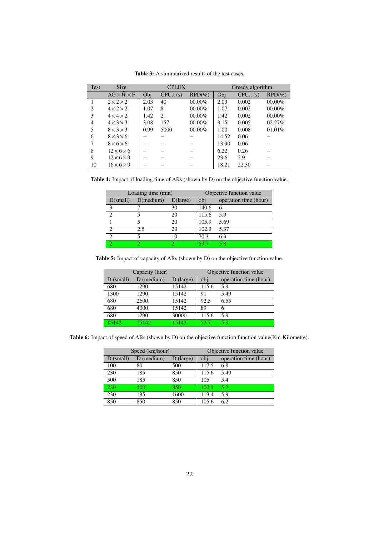<span id="page-21-0"></span>

| <b>Test</b>    | <b>Size</b>                  | <b>CPLEX</b> |          |           |       | Greedy algorithm |           |
|----------------|------------------------------|--------------|----------|-----------|-------|------------------|-----------|
|                | $AG \times \hat{W} \times F$ | Obj          | CPU.t(s) | $RPD(\%)$ | Obj   | CPU.t(s)         | $RPD(\%)$ |
|                | $2 \times 2 \times 2$        | 2.03         | 40       | 00.00%    | 2.03  | 0.002            | 00.00%    |
| 2              | $4 \times 2 \times 2$        | 1.07         | 8        | 00.00%    | 1.07  | 0.002            | 00.00%    |
| 3              | $4 \times 4 \times 2$        | 1.42         | 2        | 00.00%    | 1.42  | 0.002            | 00.00%    |
| $\overline{4}$ | $4 \times 3 \times 3$        | 3.08         | 157      | 00.00%    | 3.15  | 0.005            | 02.27%    |
| 5              | $8 \times 3 \times 3$        | 0.99         | 5000     | 00.00%    | 1.00  | 0.008            | 01.01%    |
| 6              | $8 \times 3 \times 6$        |              |          |           | 14.52 | 0.06             |           |
|                | $8\times 6\times 6$          |              |          |           | 13.90 | 0.06             |           |
| 8              | $12\times 6\times 6$         |              |          |           | 6.22  | 0.26             |           |
| 9              | $12\times 6\times 9$         |              |          |           | 23.6  | 2.9              |           |
| 10             | $16 \times 6 \times 9$       |              |          |           | 18.21 | 22.30            |           |

Table 3: A summarized results of the test cases.

<span id="page-21-1"></span>Table 4: Impact of loading time of ARs (shown by D) on the objective function value.

|                   | Loading time (min) |                   | Objective function value |                       |
|-------------------|--------------------|-------------------|--------------------------|-----------------------|
| D(small)          | $D(\text{medium})$ | $D(\text{large})$ | obj                      | operation time (hour) |
| $\mathbf{\Omega}$ |                    | 30                | 140.6                    |                       |
|                   |                    | 20                | 115.6                    | 5.9                   |
|                   |                    | 20                | 105.9                    | 5.69                  |
| ↑                 | 2.5                | 20                | 102.3                    | 5.37                  |
| っ                 |                    | 10                | 70.3                     | 6.3                   |
|                   |                    |                   |                          | 58                    |

<span id="page-21-2"></span>Table 5: Impact of capacity of ARs (shown by D) on the objective function value.

|             | Capacity (liter) |             |       | Objective function value |
|-------------|------------------|-------------|-------|--------------------------|
| $D$ (small) | $D$ (medium)     | $D$ (large) | obj   | operation time (hour)    |
| 680         | 1290             | 15142       | 115.6 | 5.9                      |
| 1300        | 1290             | 15142       | 91    | 5.49                     |
| 680         | 2600             | 15142       | 92.5  | 6.55                     |
| 680         | 4000             | 15142       | 89    | 6                        |
| 680         | 1290             | 30000       | 115.6 | 5.9                      |
| 15142       | 15142            | 15142       | 52.7  | 5.8                      |

<span id="page-21-3"></span>Table 6: Impact of speed of ARs (shown by D) on the objective function function value(Km-Kilometre).

|             | Speed (km/hour) |             | Objective function value |                       |
|-------------|-----------------|-------------|--------------------------|-----------------------|
| $D$ (small) | $D$ (medium)    | $D$ (large) | obj                      | operation time (hour) |
| 100         | 80              | 500         | 117.5                    | 6.8                   |
| 230         | 185             | 850         | 115.6                    | 5.49                  |
| 500         | 185             | 850         | 105                      | 5.4                   |
| 230         | 400             | 850         | 102.4                    | 5.2                   |
| 230         | 185             | 1600        | 113.4                    | 5.9                   |
| 850         | 850             | 850         | 105.6                    | 6.2                   |